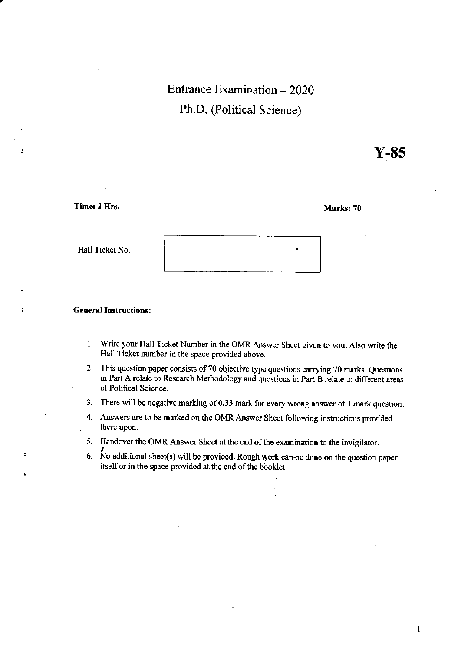# Entrance Examination - 2020 Ph.D. (Political Science)

Y-8s

Time: 2 Hrs.

È

 $\cdot$  3

Marks: 70

Hall Ticket No.

#### : General Instructions:

- 1. Write your Hall Ticket Number in the OMR Answer Sheet given to you. Also write the Hall Ticket number in the space provided above.
- 2. This question paper consists of 70 objective type questions carrying 70 marks. Questions in Part A relate to Research Methodology and questions in Part B relate to differcnt areas of Political Science.
- 3. There will be negative marking of 0.33 mark for every wrong answer of 1 mark question.
- 4. Answers are to be marked on the OMR Answer Sheet following instructions provided there upon.
- 5. Handover the OMR Answer Sheet at the end of the examination to the invigilator.
- 6. No additional sheet(s) will be provided. Rough work can be done on the question paper itself or in the space provided at the end of the booklet.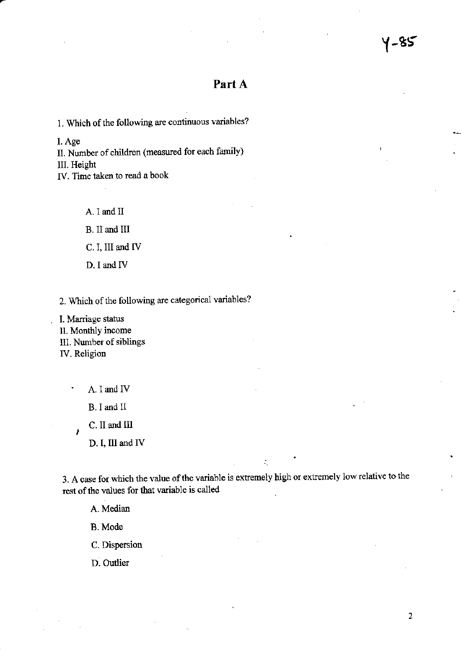## Part A

1. Which of the following are continuous variables?

l. Age

II. Number of children (measured for each family) III. Height

IV. Time taken to read a book

A. I and II B. 1I and III C. I, III and IV D. I and IV

2. Which of the following are categorical variables?

. I. Marriage status II. Monthly income IIl. Nunber of siblings IV. Religion

A. I and IV

B. I and ll

C. II and III

D. I, III and IV

3. A case for which the value of the variable is extremely high or extremely low relative to the rest of the values for that variable is called

:'

A. Median

B. Mode

C. Dispersion

D. Oudier

 $\overline{2}$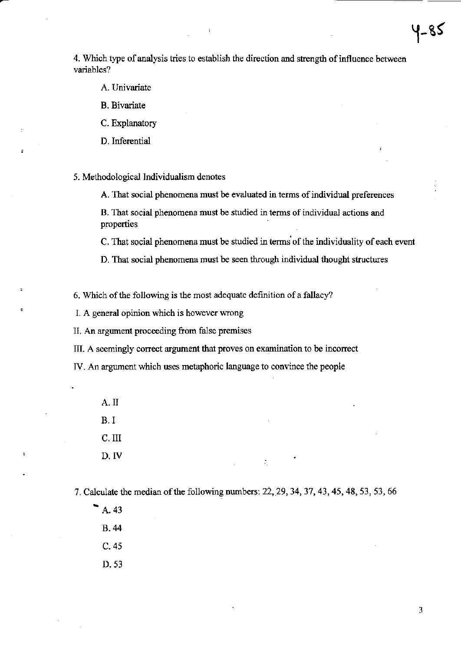4. Which type of analysis tries to establish the direction and strength of influence between variables?

- A. Univariate
- **B.** Bivariate
- C. Explanatory
- D. Inferential

5. Methodological Individualism denotes

A. That social phenomena must be evaluated in terms of individual preferences

B. That social phenomena must be studied in terms of individual actions and properties

C. That social phenomena must be studied in terms of the individuality of each event

D. That social phenomena must be seen through individual thought structures

6. Which of the following is the most adequate definition of a fallacy?

I. A general opinion which is however wrong

II. An argument proceeding from false premises

III. A seemingly correct argument that proves on examination to be incorrect

IV. An argument which uses metaphoric language to convince the people

A.II  $B. I$ C. III D. IV

7. Calculate the median of the following numbers: 22, 29, 34, 37, 43, 45, 48, 53, 53, 66

÷.

 $\blacktriangleright$  A. 43  $B.44$  $C.45$ D. 53

3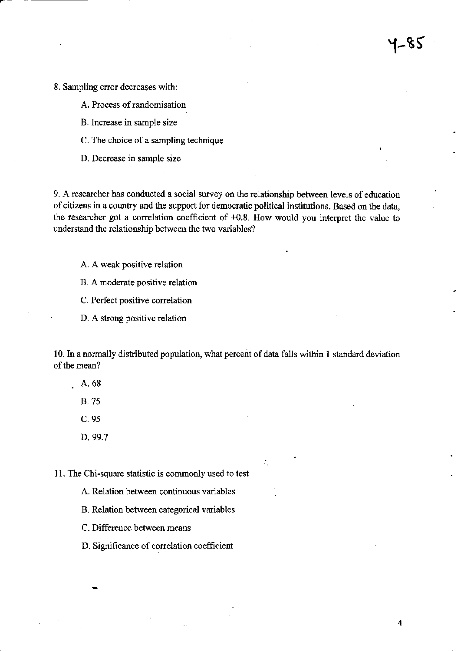8. Sampling error decreases with:

- A. Process of randomisation
- B. Increase in sample size
- C. The choice of a sampling technique
- D. Decrease in sample size

9. A researcher has conducted a social survey on the relationship between levels of education of citizens in a country and the support for democratic political institutions. Based on the data, the researcher got a correlation coefficient of  $+0.8$ . How would you interpret the value to understand the relationship between the two variables?

5لا–'

 $\overline{\mathbf{4}}$ 

- A. A weak positive relation
- B. A moderate positive relation
- C. Perfect positive correlation
- D. A strong positive relation

10. In a normally distributed population, what percent of data falls within 1 standard deviation of the mean?

- $\,$ . A. 68
	- **B.75**
	- $C.95$
	- D. 99.7

11. The Chi-square statistic is commonly used to test

- A. Relation between continuous variables
- B. Relation between categorical variables
- C. Difference between means
- D. Significance of correlation coefficient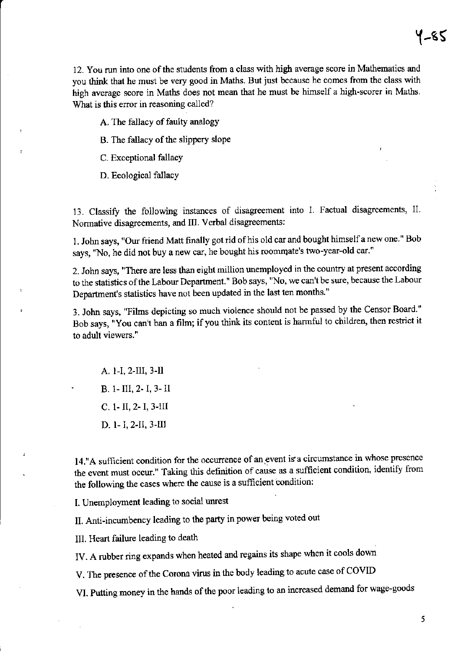12. You run into one of the students from a class with high average score in Mathematics and you think that he must be very good in Maths. But just because he comes from the class with high average score in Maths does not mean that he must be himself a high-scorer in Maths. What is this error in reasoning called?

A. The fallacy of faulty analogy

B. The fallacy of the slippery slope

C. Exceptional fallacy

D. Ecological fallacy

13. Classify the following instances of disagreement into I. Factual disagreements, II. Normative disagreements, and III. Verbal disagreements:

1. John says, "Our friend Matt finally got rid of his old car and bought himself a new one." Bob says, "No, he did not buy a new car, he bought his roommate's two-year-old car."

2. John says, "There are less than eight million unemployed in the country at present according to the statistics of the Labour Department." Bob says, "No, we can't be sure, because the Labour Department's statistics have not been updated in the last ten months."

3. John says, "Films depicting so much violence should not be passed by the Censor Board." Bob says, "You can't ban a film; if you think its content is harmful to children, then restrict it to adult viewers."

A. 1-I, 2-III, 3-II B. 1-III, 2-I, 3-II  $C. 1 - II, 2 - I, 3 - III$ D. 1- I, 2-II, 3-III

14."A sufficient condition for the occurrence of an event is a circumstance in whose presence the event must occur." Taking this definition of cause as a sufficient condition, identify from the following the cases where the cause is a sufficient condition:

I. Unemployment leading to social unrest

II. Anti-incumbency leading to the party in power being voted out

III. Heart failure leading to death

IV. A rubber ring expands when heated and regains its shape when it cools down

V. The presence of the Corona virus in the body leading to acute case of COVID

VI. Putting money in the hands of the poor leading to an increased demand for wage-goods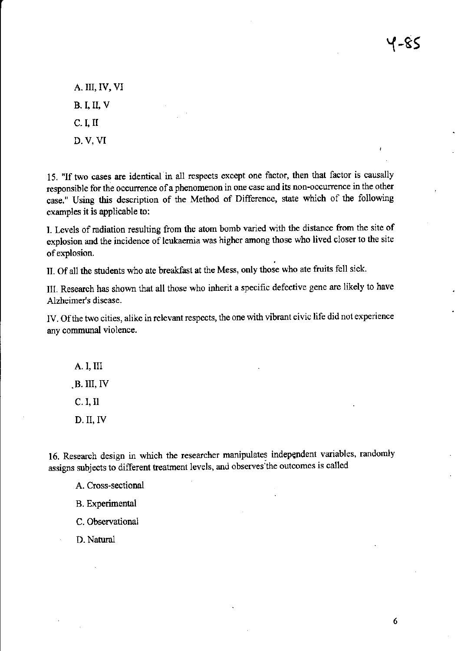4-85

A. III, IV, VI **B. I, II, V**  $C. I, II$ D. V, VI

15. "If two cases are identical in all respects except one factor, then that factor is causally responsible for the occurrence of a phenomenon in one case and its non-occurrence in the other case." Using this description of the Method of Difference, state which of the following examples it is applicable to:

L Levels of radiation resulting ftom the atom bomb varied with the distance ftom the site of explosion and the incidence of leukaemia was higher among those who lived closer to the site of explosion.

II. Of all the students who ate breakfast at the Mess, only those who ate fruits fell sick.

III. Research has shown that all those who inherit a specihc defective gene are likely to have Alzheimer's disease.

IV. Of the two cities, alike in relevant respects, the one with vibrant civic life did not experience any cormunal violence.

A, I, III .B. III, TV

C. I, II

 $D.$  II, IV

16. Research design in which the researcher manipulates indepqndent variables, randomly assigns subjects to different treatrnent levels, and observes the outcomes is called

A, Cross-sectional

B. Experimental

C. Observational

D. Natural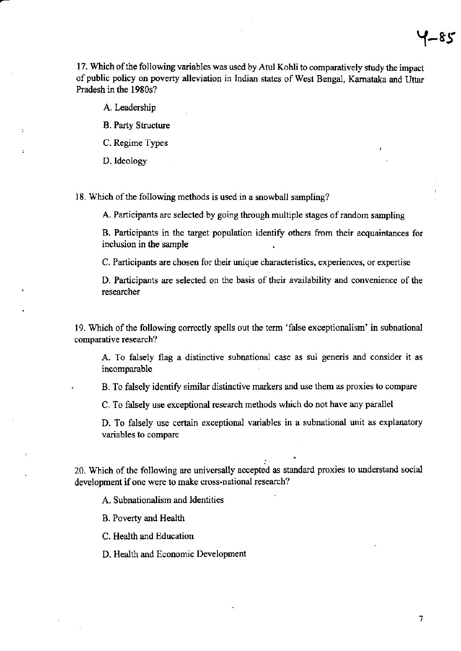17. Which of the following variables was used by Atul Kohli to comparatively study the impact of public policy on poverty alleviation in Indian states of West Bengal, Karnataka and Uttar Pradesh in the 1980s?

A. Leadership

B. Party Structue

C. Regime Types

D. ldeology

18. Which of the following methods is used in a snowball sampling?

A. Participants are selected by going through multiple stages of random sampling

B. Participants in the target population identify others from their acquaintances for inclusion in the sample .

C. Participants are chosen for their unique characteristics, experiences, or expertise

D. Participants are selected on the basis of their availability and convenience of the researcher

19. Which of the following conectly spells out the term 'false exceptionalism' in subnational comparative research?

A. To falsely flag a distinctive subnational case as sui generis and consider it as incomparable

. B. To falsely identify similar distinctive narkers and use them as prcxies to compare

C. To falsely use exceptional research methods which do not have any parallel

D. To falsely use certain exceptional variables in a subnational unit as explamtory variables to compare

i 20. Which of the following are universally accepted as standard proxies to understand social development if one were to make cross-national research?

A. Subnationalism and ldentities

B. Poverty and Health

C. Health and Education

D. Health and Economic Development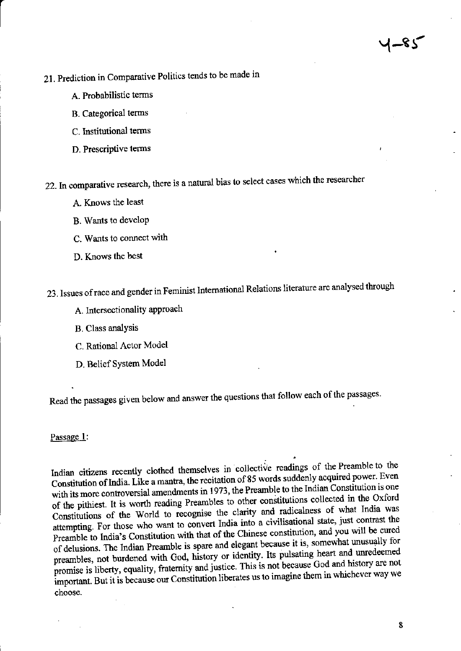# 21. Prediction in Comparative Politics tends to be made in

- A. Probabilistic terms
- **B.** Categorical terms
- C. Institutional terms
- D. Prescriptive terms

22. In comparative research, there is a natural bias to select cases which the researcher

- A. Knows the least
- B. Wants to develop
- C. Wants to connect with
- D. Knows the best

23. Issues of race and gender in Feminist International Relations literature are analysed through

- A. Intersectionality approach
- **B.** Class analysis
- C. Rational Actor Model
- D. Belief System Model

Read the passages given below and answer the questions that follow each of the passages.

Passage 1:

Indian citizens recently clothed themselves in collective readings of the Preamble to the Constitution of India. Like a mantra, the recitation of 85 words suddenly acquired power. Even with its more controversial amendments in 1973, the Preamble to the Indian Constitution is one of the pithiest. It is worth reading Preambles to other constitutions collected in the Oxford Constitutions of the World to recognise the clarity and radicalness of what India was attempting. For those who want to convert India into a civilisational state, just contrast the Preamble to India's Constitution with that of the Chinese constitution, and you will be cured of delusions. The Indian Preamble is spare and elegant because it is, somewhat unusually for preambles, not burdened with God, history or identity. Its pulsating heart and unredeemed promise is liberty, equality, fraternity and justice. This is not because God and history are not important. But it is because our Constitution liberates us to imagine them in whichever way we choose.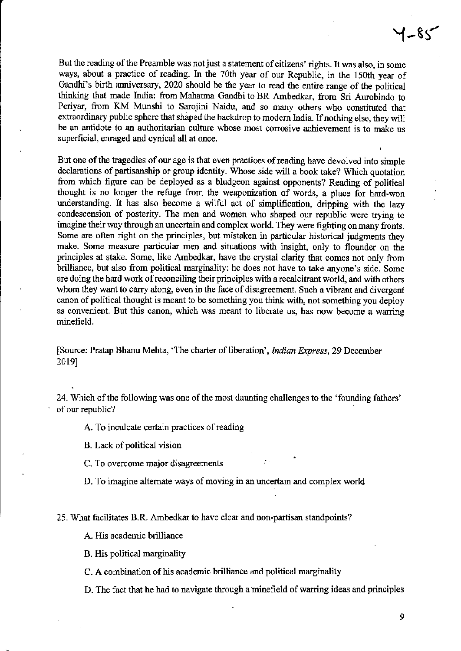But the reading of the Preamble was not just a statement of citizens' rights. It was also, in some ways, about a practice of reading. In the 70th year of our Republic, in the 150th year of Gandhi's birth anniversary, 2020 should be the year to read the entire range of the political thinking that made India: from Mahatma Gandhi to BR Ambedkar, from Sri Aurobindo to Periyar, from KM Munshi to Sarojini Naidu, and so many others who constituted that extraordinary public sphere that shaped the backdrop to modern India. If nothing else, they will be an antidote to an authoritarian culture whose most corrosive achievement is to make us superficial, enraged and cynical all at once.

But one of the tragedies of our age is that even practices of reading have devolved into simple declarations of partisanship or group identity. Whose side will a book take? Which quotation from which figure can be deployed as a bludgeon against opponents? Reading of political thought is no longer the refuge ftom the weaponization of words, a place for hard-won understanding. It has also become a wilful act of simplification, dripping with the lazy condescension of posterity. The men and women who shaped our republic were trying to imagine their way through an uncertain and complex world. They were fighting on many fronts. Some are often right on the principles, but mistaken in particular historical judgments they make. Some measure particular men and situations with insight, only to flounder on the prinaiples at stake. Some, like Ambedkar, have the crystal clarify that comes not only from brilliance, but also from political marginality: he does not have to take anyone's side. Some are doing the hard work of reconciling their principles with a recalcitrant world, and with others whom they want to carry along, even in the face of disagreement. Such a vibrant and divergent canon of political thought is meant to be something you think with, not something you deploy as convenient. But this canon, which was meant to liberate us, has now become a warring minefield.

[Source: Pratap Bhanu Mehta, 'The charter of liberation', *Indian Express*, 29 December 20191

24. Which of the following was one of the most daunting challenges to the 'founding fathers' of our republic?

A. To inculcate certain practices of reading

B. Lack of political vision

C. To overcome major disagreements

D. To imagine alternate ways of moving in an uncertain and complex world

25. What facilitates B.R. Ambedkar to have clear and non-partisan standpoints?

A. His academic brilliance

B. His political marginality

C. A combination of his academic brilliance and political marginality

D. The fact that he had to navigate though a minefield of warring ideas and principles

9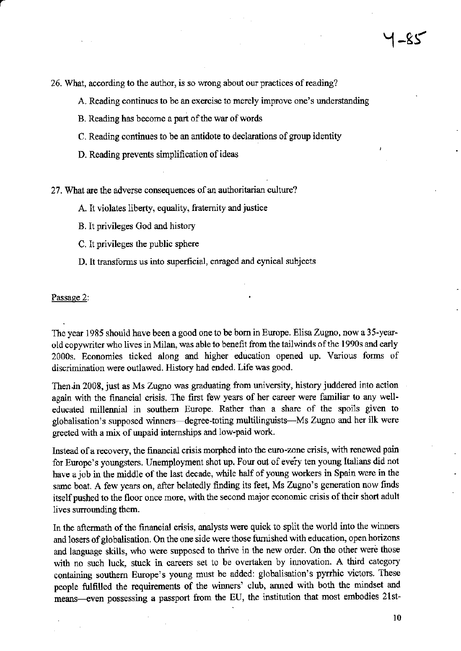26. What, according to the author, is so wrong about our practices of reading?

A. Reading continues to be an exercise to merely improve one's understanding

- B. Reading has become a part of the war of words
- C. Reading continues to be an antidote to declarations of group identity
- D. Reading prevents simplification of ideas

27. What are the adverse consequences of an authoritarian culture?

A. It violates liberty, equality, fraternity and justice

- B. It privileges God and history
- C. It privileges the public sphere
- D. It transforms us into superficial, enraged and cynical subjects

Passage 2:

The year 1985 should have been a good one to be born in Europe. Elisa Zugno, now a 35-yearold copywriter who lives in Milan, was able to benefit from the tailwinds of the 1990s and early 2000s. Economies ticked along and higher education opened up. Various forms of discrimination were outlawed. History had ended. Life was good.

Then in 2008, just as Ms Zugno was graduating from university, history juddered into action again with the financial crisis. The first few years of her career were familiar to any welleducated millennial in southern Europe. Rather than a share of the spoils given to globalisation's supposed winners—degree-toting multilinguists—Ms Zugno and her ilk were greeted with a mix of unpaid internships and low-paid work.

Instead of a recovery, the financial crisis morphed into the euro-zone crisis, with renewed pain for Europe's youngsters. Unemployment shot up. Four out of every ten young Italians did not have a job in the middle of the last decade, while half of young workers in Spain were in the same boat. A few years on, after belatedly finding its feet, Ms Zugno's generation now finds itself pushed to the floor once more, with the second major economic crisis of their short adult lives surrounding them.

In the aftermath of the financial crisis, analysts were quick to split the world into the winners and losers of globalisation. On the one side were those furnished with education, open horizons and language skills, who were supposed to thrive in the new order. On the other were those with no such luck, stuck in careers set to be overtaken by innovation. A third category containing southern Europe's young must be added: globalisation's pyrrhic victors. These people fulfilled the requirements of the winners' club, armed with both the mindset and means—even possessing a passport from the EU, the institution that most embodies 21st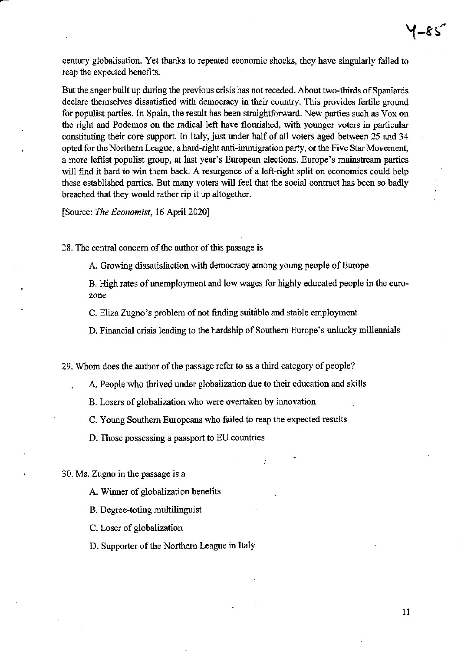century globalisation. Yet thanks to repeated economic shocks, they have singularly failed to reap the expected benefits.

But the anger built up during the previous crisis has not receded. About two-thirds of Spaniards declare themselves dissatisfied with democracy in their country. This provides fetile ground for populist parties. In Spain, the result has been straightforward. New parties such as Vox on the right and Podemos on the radical left have flourished, with younger voters in particular constituting their core support. In Italy, just under half of all voters aged between 25 and 34 opted for the Northern League, a hard-right anti-immigration party, or the Five Star Movement, a more leftist populist group, at last year's European elections. Europe's mainstream parties will find it hard to win them back. A resurgence of a left-right split on economics could help these established parties. But many voters will feel that the social contract has been so badly breached that they would rather rip it up altogether.

[Source: The Economist, 16 April 2020]

28. The central concern of the author of this passage is

A. Growing dissatisfaction with democracy among young people of Europe

B. High rates of unemployment and low wages for highly educated people in the eurozone

C. Eliza Zugno's problem of not finding suitable and stable employment

D. Financial crisis leading to the hardship of Southern Europe's unlucky millennials

29. Whom does the author of the passage refer to as a third category of people?

A. People who thrived under globalization due to their education and skills

B. Losers of globalization who were overtaken by innovation

C. Young Southem Europeans who failed to reap the expected results

D. Those possessing a passport to EU countries

30. Ms. Zugno in the passage is a

A. Winner of globalization benefits

B. Degree-toting multilinguist

C. Loser of globalization

D. Supporter of the Northem League in Italy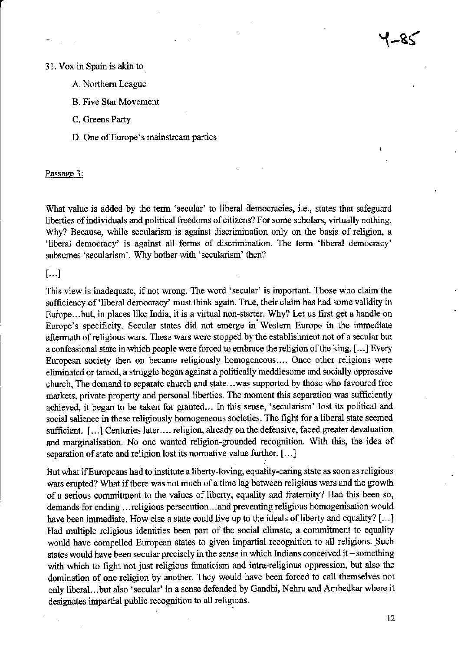### 31. Vox in Spain is akin to

- A. Northern League
- **B. Five Star Movement**
- C. Greens Party
- D. One of Europe's mainstream parties

Passage 3:

What value is added by the term 'secular' to liberal democracies, i.e., states that safeguard liberties of individuals and political freedoms of citizens? For some scholars, virtually nothing. Why? Because, while secularism is against discrimination only on the basis of religion, a 'liberal democracy' is against all forms of discrimination. The term 'liberal democracy' subsumes 'secularism'. Why bother with 'secularism' then?

 $[...]$ 

This view is inadequate, if not wrong. The word 'secular' is important. Those who claim the sufficiency of 'liberal democracy' must think again. True, their claim has had some validity in Europe...but, in places like India, it is a virtual non-starter. Why? Let us first get a handle on Europe's specificity. Secular states did not emerge in Western Europe in the immediate aftermath of religious wars. These wars were stopped by the establishment not of a secular but a confessional state in which people were forced to embrace the religion of the king. [...] Every European society then on became religiously homogeneous.... Once other religions were eliminated or tamed, a struggle began against a politically meddlesome and socially oppressive church. The demand to separate church and state...was supported by those who favoured free markets, private property and personal liberties. The moment this separation was sufficiently achieved, it began to be taken for granted... In this sense, 'secularism' lost its political and social salience in these religiously homogeneous societies. The fight for a liberal state seemed sufficient. [...] Centuries later.... religion, already on the defensive, faced greater devaluation and marginalisation. No one wanted religion-grounded recognition. With this, the idea of separation of state and religion lost its normative value further. [...]

But what if Europeans had to institute a liberty-loving, equality-caring state as soon as religious wars erupted? What if there was not much of a time lag between religious wars and the growth of a serious commitment to the values of liberty, equality and fraternity? Had this been so, demands for ending ... religious persecution... and preventing religious homogenisation would have been immediate. How else a state could live up to the ideals of liberty and equality? [...] Had multiple religious identities been part of the social climate, a commitment to equality would have compelled European states to given impartial recognition to all religions. Such states would have been secular precisely in the sense in which Indians conceived it - something with which to fight not just religious fanaticism and intra-religious oppression, but also the domination of one religion by another. They would have been forced to call themselves not only liberal...but also 'secular' in a sense defended by Gandhi, Nehru and Ambedkar where it designates impartial public recognition to all religions.

 $12 \overline{ }$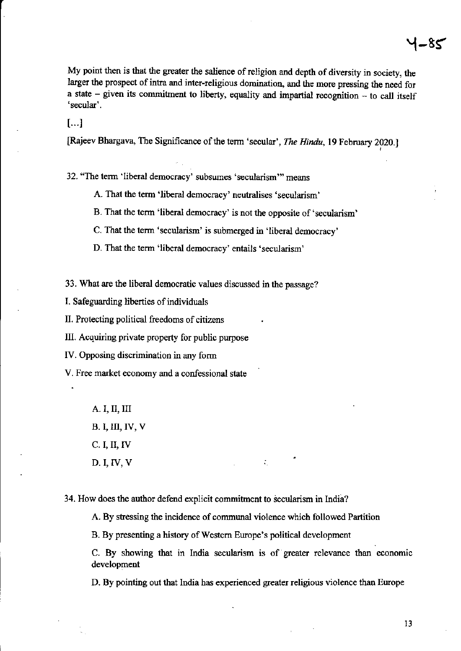My point then is that the greater the salience of religion and depth of diversity in society, the larger the prospect of intra and inter-religious domination, and the more pressing the need for a state - given its commitment to liberty, equality and impartial recognition - to call itself 'secular'.

 $[...]$ 

[Rajeev Bhargava, The Significance of the term 'secular', The Hindu, 19 February 2020.]

32. "The term 'liberal democracy' subsumes 'secularism'" means

A. That the term 'liberal democracy' neutralises 'secularism'

B. That the term 'liberal democracy' is not the opposite of 'secularism'

C. That the term 'secularism' is submerged in 'liberal democracy'

D. That the term 'liberal democracy' entails 'secularism'

33. What are the liberal democratic values discussed in the passage?

I. Safeguarding liberties of individuals

II. Protecting political freedoms of citizens

III. Acquiring private property for public purpose

IV. Opposing discrimination in any form

V. Free market economy and a confessional state

A. I, II, III **B. I, III, IV, V**  $C. I, II, IV$ 

 $D. I, IV, V$ 

34. How does the author defend explicit commitment to secularism in India?

A. By stressing the incidence of communal violence which followed Partition

B. By presenting a history of Western Europe's political development

C. By showing that in India secularism is of greater relevance than economic development

÷.

D. By pointing out that India has experienced greater religious violence than Europe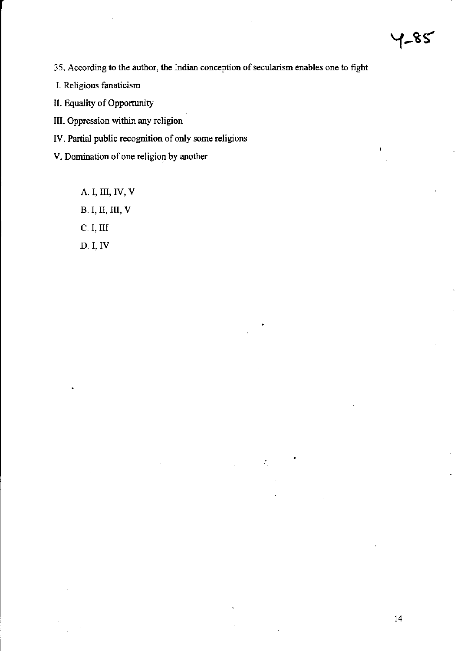35. According to the author, the Indian conception of secularism enables one to fight

 $\mathcal{I}_\mathrm{c}$ 

I. Religious fanaticism

II. Equality of Opportunity

III. Oppression within any religion

IV. Partial public recognition of only some religions

V. Domination of one religion by another

A. I, III, IV, V **B.I, II, III, V** C. I, III D. I, IV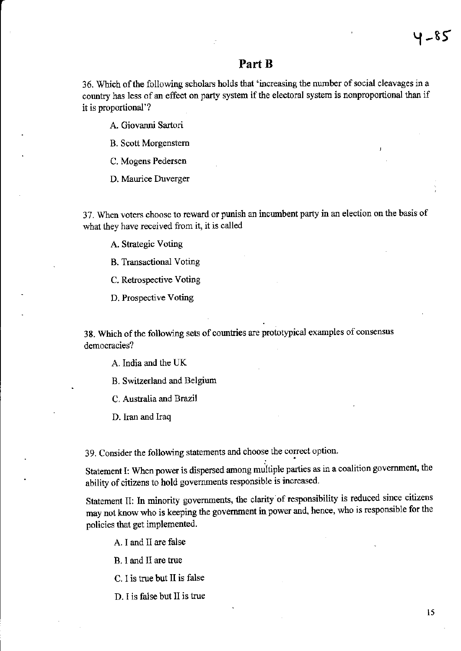### Part B

36. Which of the following scholars holds that 'increasing the number of social cleavages in a country has less of an effect on party system if the electoral system is nonproportional than if it is proportional'?

A. Giovanni Sartori

B. Scott Morgenstem

C. Mogens Pedersen

D. Maurice Duverger

37. wllen voters choose to reward or punish an incumbent party in an election on the basis of what they have received from it, it is called

A. Strategic Voting

B. Transactional Voting

C. Retrospective Voting

D. Prospective Voling

38. Which of the following sets of countries are prototypical examples of consensus democracies?

A. India and the UK

B. Switzerland and Belgium

C. Australia and Brazil

D. Iran and Iraq

39. Consider the following statements and choose the correct option.

Statement I: When power is dispersed among multiple parties as in a coalition government, the ability of citizens to hold governments responsible is increased.

Statement II: In minority governments, the clarity of responsibility is reduced since citizens may not know who is keeping the government in power and, hence, who is responsible for the policies that get implemented

A. I and II are false

B. I and I1 are true

C. I is true but II is false

D. I is false but II is true

Y -85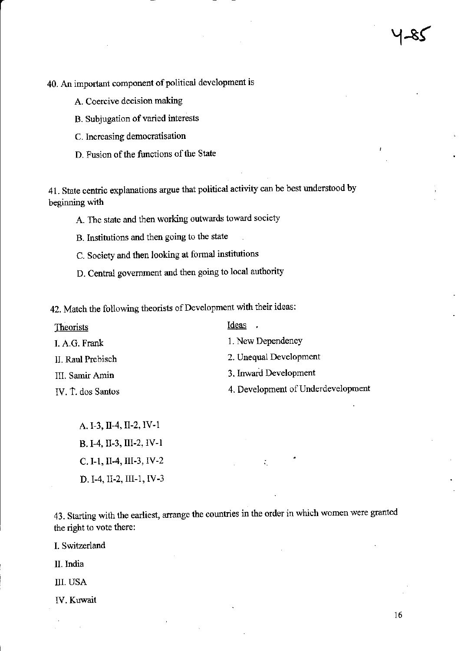40. An important component of political development is

- A. Coercive decision making
- B. Subjugation of varied interests
- C. Increasing democratisation
- D. Fusion of the functions of the State

41. State centric explanations argue that political activity can be best understood by beginning with

- A. The state and then working outwards toward society
- B. Institutions and then going to the state
- C. Society and then looking at formal institutions
- D. Central government and then going to local authority

42. Match the following theorists of Development with their ideas:

| Theorists         | Ideas.                             |
|-------------------|------------------------------------|
| I. A.G. Frank     | 1. New Dependency                  |
| II. Raul Prebisch | 2. Unequal Development             |
| III. Samir Amin   | 3. Inward Development              |
| IV. T. dos Santos | 4. Development of Underdevelopment |

A. I-3, II-4, II-2, IV-1 B. I-4, II-3, III-2, IV-1 C. I-1, II-4, III-3, IV-2 D. I-4, II-2, III-1, IV-3

43. Starting with the earliest, arrange the countries in the order in which women were granted the right to vote there:

I. Switzerland

II. India

**III. USA** 

IV. Kuwait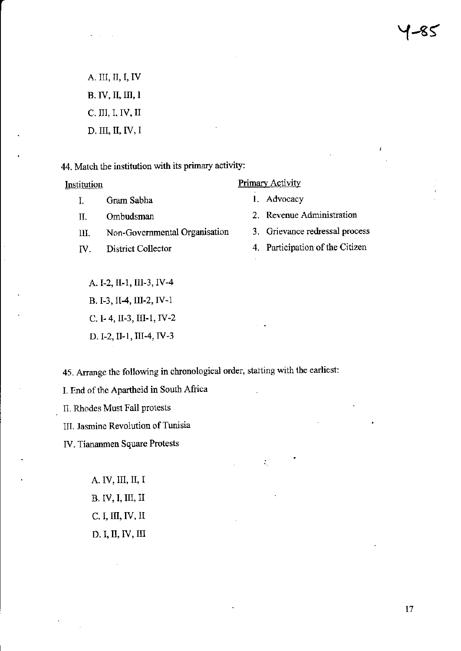A. III, II, I, IV B. IV, II, III, I C. III, I, IV, II D. III, II, IV, I

44. Match the institution with its primary activity:

Institution

 $\mathbf{I}$ . Gram Sabha

Π. Ombudsman

Non-Governmental Organisation III.

IV. District Collector **Primary Activity** 

1. Advocacy

2. Revenue Administration

3. Grievance redressal process

4. Participation of the Citizen

A. I-2, II-1, III-3, IV-4 B. I-3, II-4, III-2, IV-1 C. 1-4, II-3, III-1, IV-2 D. I-2, II-1, III-4, IV-3

45. Arrange the following in chronological order, starting with the earliest:

I. End of the Apartheid in South Africa

II. Rhodes Must Fall protests

III. Jasmine Revolution of Tunisia

IV. Tiananmen Square Protests

A. IV, III, II, I B. IV, I, III, II  $C. I, III, IV, II$ D. I, II, IV, III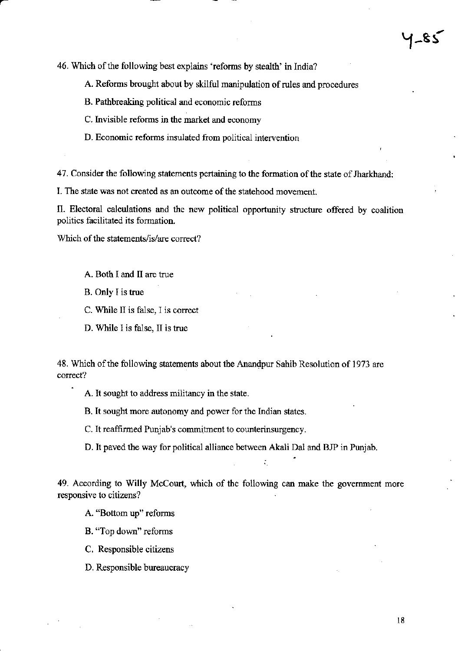46. Which of the following best explains 'reforms by stealth' in India?

A. Reforms brought about by skilful manipulation of rules and procedures

- B. Pathbreaking political and economic reforms
- C. Invisible reforms in the market and economy
- D. Economic reforms insulated from political intervention

47. Consider the following statements pertaining to the formation of the state of Jharkhand:

I. The state was not created as an outcome of the statehood movement.

II. Electoral calculations and the new political opportunity structure offered by coalition politics facilitated its formation.

Which of the statements/is/are correct?

A. Both I and II are true

B. Only I is true

C. While II is false, I is correct

D. While I is false, II is true

48. Which of the following statements about the Anandpur Sahib Resolution of 1973 are correct?

A. It sought to address militancy in the state.

B. It sought more autonomy and power for the Indian states.

C. It reaffirmed Punjab's commitment to counterinsurgency.

D. It paved the way for political alliance between Akali Dal and BJP in Punjab.

49. According to Willy McCourt, which of the following can make the government more responsive to citizens?

A. "Bottom up" reforms

B. "Top down" reforms

C. Responsible citizens

D. Responsible bureaucracy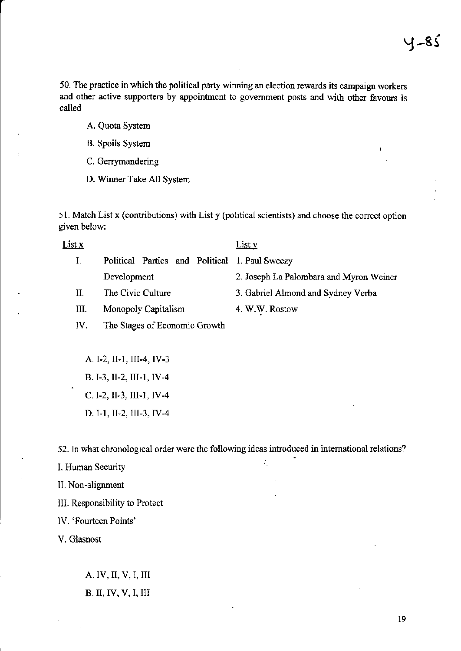50. The practice in which the political party winning an election rcwards its campaign workers and other active supporters by appointment to government posts and with other favours is called

- A. Quota System
- B. Spoils System
- C. Cerrymandering
- D. Wimer Take All System

51. Match List x (contributions) with List y (political scientists) and choose the corect option given below:

| List x |                                                           | List y                                  |
|--------|-----------------------------------------------------------|-----------------------------------------|
|        | Political Parties and Political 1. Paul Sweezy            |                                         |
|        | Development                                               | 2. Joseph La Palombara and Myron Weiner |
| Н.     | The Civic Culture                                         | 3. Gabriel Almond and Sydney Verba      |
|        | $\lambda$ for an also $\Delta$ and $\lambda$ all $\ldots$ | 4 W W D.                                |

- III. Monopoly Capitalism 4. W.W. Rostow
- IV. The Stages of Economic Growth

A. I-2, II-1, III-4, IV-3 B. I.3, II-2, III-1, IV-4 C. I-2, II-3, III-1, IV-4 D. I-I, II-2, III-3, IV-4

52. In what chronological order were the following ideas introduced in international relations?

I. Human Security  $\frac{1}{2}$  is  $\frac{1}{2}$  in  $\frac{1}{2}$  in  $\frac{1}{2}$ 

IL Non-alignment

III. Responsibility to Protect

lV. 'Fourteen Points'

V. Glasnost

A. IV, II, V,I, III B. II, IV, V, I, III

l9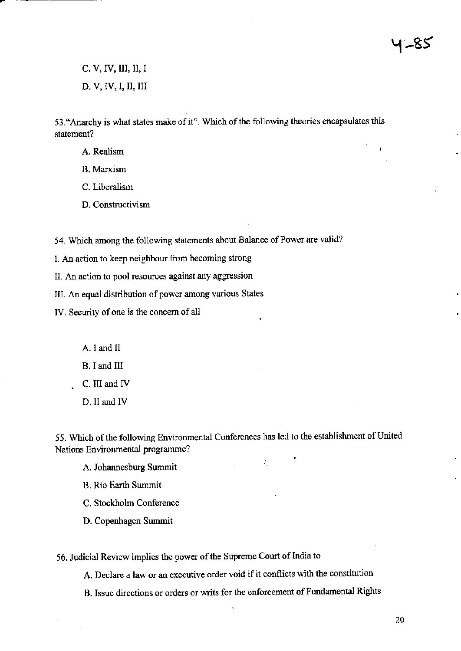$C, V, IV, III, II, I$ D. V, IV, I, II, III

53. "Anarchy is what states make of it". Which of the following theories encapsulates this statement?

- A. Realism
- **B.** Marxism
- C. Liberalism
- D. Constructivism

54. Which among the following statements about Balance of Power are valid?

I. An action to keep neighbour from becoming strong

II. An action to pool resources against any aggression

III. An equal distribution of power among various States

IV. Security of one is the concern of all

A. I and II B. I and III

C. III and IV

D. II and IV

55. Which of the following Environmental Conferences has led to the establishment of United Nations Environmental programme?

 $\mathcal{I}_\mathcal{L}$ 

A. Johannesburg Summit

**B.** Rio Earth Summit

C. Stockholm Conference

D. Copenhagen Summit

56. Judicial Review implies the power of the Supreme Court of India to

A. Declare a law or an executive order void if it conflicts with the constitution

B. Issue directions or orders or writs for the enforcement of Fundamental Rights

20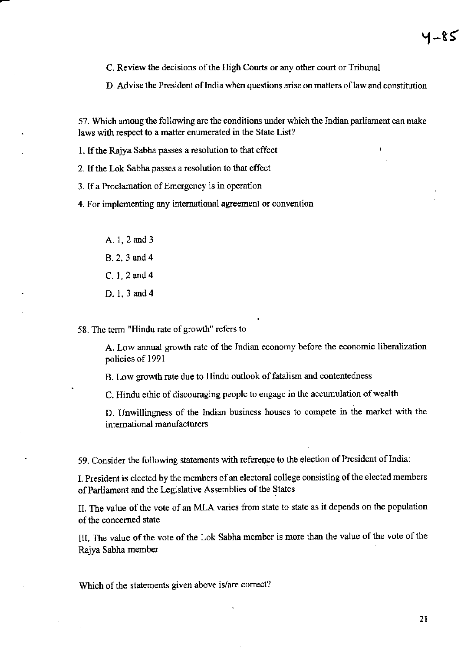C. Review the decisions of the High Courts or any other court or Tribunal

D. Advise the President of India when questions arise on matters of law and constitution

57. Which among the following are the conditions under which the Indian parliament can make laws with respect to a matter enumerated in the State List?

1. If the Rajya Sabha passes a resolution to that effect

2. If the Lok Sabha passes a resolution to that effect

3. If a Proclamation of Emergency is in operation

4. For implementing any international agreement or convention

A. 1, 2 and 3 B. 2, 3 and 4 C. 1, 2 and 4 D. 1, 3 and 4

58. The term "Hindu rate of growth" refers to

A. Low annual growth rate of the Indian economy before the economic liberalization policies of 1991

B. Low growth rate due to Hindu outlook of fatalism and contentedness

C. Hindu ethic of discouraging people to engage in the accumulation of wealth

D. Unwillingness of the Indian business houses to compete in the market with the international manufacturers

59. Consider the following statements with reference to the election of President of India:

I. President is elected by the members of an electoral college consisting of the elected members of Parliament and the Legislative Assemblies of the States

II. The value of the vote of an MLA varies from state to state as it depends on the population of the concerned state

III. The value of the vote of the Lok Sabha member is more than the value of the vote of the Rajya Sabha member

Which of the statements given above is/are correct?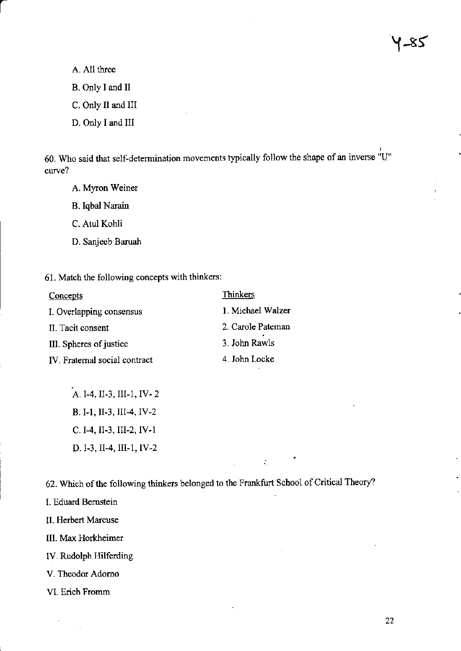A. All three

B. Only I and II

C. Only II and III

D. Only I and III

60. Who said that self-determination movements typically follow the shape of an inverse "U" curve?

A. Myron Weiner

**B.** Iqbal Narain

C. Atul Kohli

- D. Sanjeeb Baruah
- 61. Match the following concepts with thinkers:

| Concepts                      | Thinkers          |
|-------------------------------|-------------------|
| I. Overlapping consensus      | 1. Michael Walzer |
| II. Tacit consent             | 2. Carole Pateman |
| III. Spheres of justice       | 3. John Rawls     |
| IV. Fraternal social contract | 4. John Locke     |

A. 1-4, II-3, III-1, IV-2 B. I-1, II-3, III-4, IV-2 C. I-4, II-3, III-2, IV-1 D. I-3, II-4, III-1, IV-2

62. Which of the following thinkers belonged to the Frankfurt School of Critical Theory?

 $\tilde{\mathcal{M}}_1$ 

I. Eduard Bernstein

II. Herbert Marcuse

III. Max Horkheimer

IV. Rudolph Hilferding

V. Theodor Adorno

VI. Erich Fromm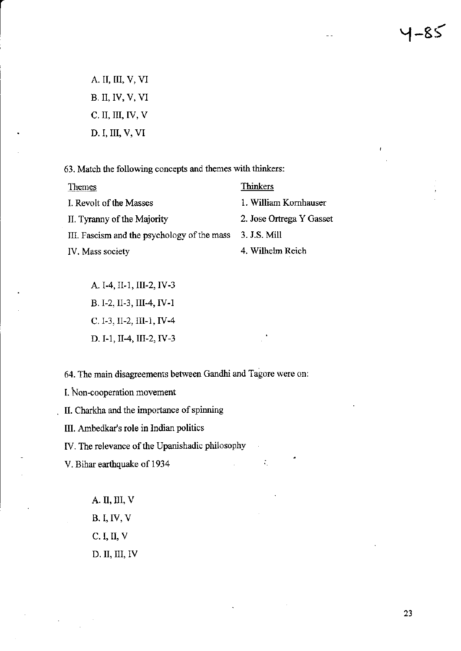A. II, III, V, VI **B. II, IV, V, VI** C. II, III, IV, V D. I, III, V, VI

63. Match the following concepts and themes with thinkers:

| <b>Themes</b>                               | Thinkers                 |
|---------------------------------------------|--------------------------|
| I. Revolt of the Masses                     | 1. William Kornhauser    |
| II. Tyranny of the Majority                 | 2. Jose Ortrega Y Gasset |
| III. Fascism and the psychology of the mass | 3. J.S. Mill             |
| IV. Mass society                            | 4. Wilhelm Reich         |

A. I-4, II-1, III-2, IV-3 B. I-2, II-3, III-4, IV-1 C. I-3, II-2, III-1, IV-4 D. I-1, II-4, III-2, IV-3

64. The main disagreements between Gandhi and Tagore were on:

 $\zeta_1$ 

I. Non-cooperation movement

II. Charkha and the importance of spinning

III. Ambedkar's role in Indian politics

IV. The relevance of the Upanishadic philosophy

V. Bihar earthquake of 1934

A. II, III, V **B.I, IV, V** C. I, II, V D. II, III, IV 1–85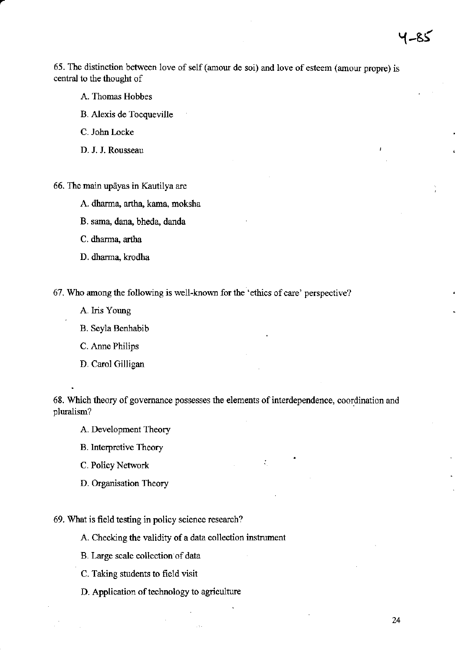65. The distinction between love of self (amour de soi) and love of esteem (amour propre) is central to the thought of

- A. Thomas Hobbes
- B. Alexis de Tocqueville
- C. John Locke
- D. J. J. Rousseau

66. The main upāyas in Kautilya are

- A. dharma, artha, kama, moksha
- B. sama, dana, bheda, danda
- C. dharma, artha
- D. dharma, krodha

67. Who among the following is well-known for the 'ethics of care' perspective?

- A. Iris Young
- B. Sevla Benhabib
- C. Ame Philips
- D. Carol Gilligan

68. Which theory of govemance possesses the elements of interdependence, coordination and pluralism?

÷

- A. Development Theory
- B. lnterpretive Theory
- C. Policy Network
- D. Organisation Theory

69. What is field testing in policy science rcsearch?

A. Checking the validity of a data collection instrument

- B. Large scale collection of data
- C. Taking students to field visit
- D. Application of technology to agriculture